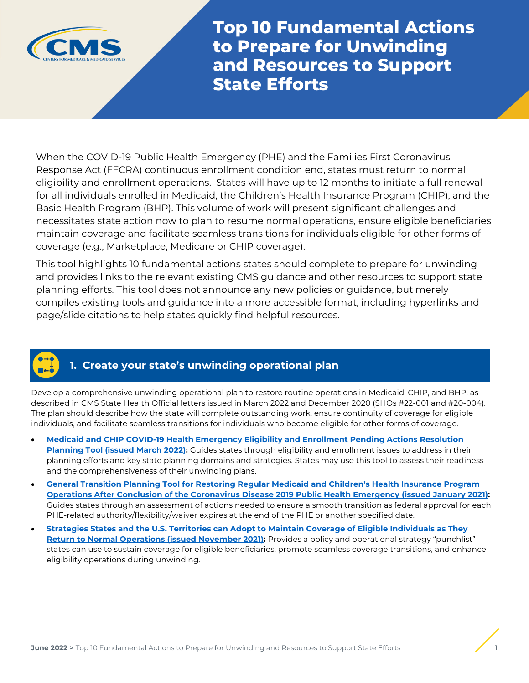

**Top 10 Fundamental Actions to Prepare for Unwinding and Resources to Support State Efforts**

When the COVID-19 Public Health Emergency (PHE) and the Families First Coronavirus Response Act (FFCRA) continuous enrollment condition end, states must return to normal eligibility and enrollment operations. States will have up to 12 months to initiate a full renewal for all individuals enrolled in Medicaid, the Children's Health Insurance Program (CHIP), and the Basic Health Program (BHP). This volume of work will present significant challenges and necessitates state action now to plan to resume normal operations, ensure eligible beneficiaries maintain coverage and facilitate seamless transitions for individuals eligible for other forms of coverage (e.g., Marketplace, Medicare or CHIP coverage).

This tool highlights 10 fundamental actions states should complete to prepare for unwinding and provides links to the relevant existing CMS guidance and other resources to support state planning efforts. This tool does not announce any new policies or guidance, but merely compiles existing tools and guidance into a more accessible format, including hyperlinks and page/slide citations to help states quickly find helpful resources.

# **1. Create your state's unwinding operational plan**

Develop a comprehensive unwinding operational plan to restore routine operations in Medicaid, CHIP, and BHP, as described in CMS State Health Official letters issued in March 2022 and December 2020 (SHOs #22-001 and #20-004). The plan should describe how the state will complete outstanding work, ensure continuity of coverage for eligible individuals, and facilitate seamless transitions for individuals who become eligible for other forms of coverage.

- **[Medicaid and CHIP COVID-19 Health Emergency Eligibility and Enrollment Pending Actions Resolution](https://www.medicaid.gov/resources-for-states/downloads/medicaid-chip-covid19-health-emergency-eligibility-enrollment-pending-actions-resolution-planning-tool.docx)  [Planning Tool](https://www.medicaid.gov/resources-for-states/downloads/medicaid-chip-covid19-health-emergency-eligibility-enrollment-pending-actions-resolution-planning-tool.docx) (issued March 2022):** Guides states through eligibility and enrollment issues to address in their planning efforts and key state planning domains and strategies. States may use this tool to assess their readiness and the comprehensiveness of their unwinding plans.
- **[General Transition Planning Tool for Restoring Regular Medicaid and Children's Health Insurance Program](https://www.medicaid.gov/resources-for-states/downloads/general-transition-planning-tool-restoring-regular-medicaid-chip-operations-conclusion-covid19-health-emergency.docx)  [Operations After Conclusion of the Coronavirus Disease 2019 Public Health Emergency](https://www.medicaid.gov/resources-for-states/downloads/general-transition-planning-tool-restoring-regular-medicaid-chip-operations-conclusion-covid19-health-emergency.docx) (issued January 2021):**  Guides states through an assessment of actions needed to ensure a smooth transition as federal approval for each PHE-related authority/flexibility/waiver expires at the end of the PHE or another specified date.
- **[Strategies States and the U.S. Territories can Adopt to Maintain Coverage of Eligible Individuals as They](https://www.medicaid.gov/state-resource-center/downloads/strategies-for-covrg-of-indiv.pdf)  [Return to Normal Operations \(issued November 2021\):](https://www.medicaid.gov/state-resource-center/downloads/strategies-for-covrg-of-indiv.pdf)** Provides a policy and operational strategy "punchlist" states can use to sustain coverage for eligible beneficiaries, promote seamless coverage transitions, and enhance eligibility operations during unwinding.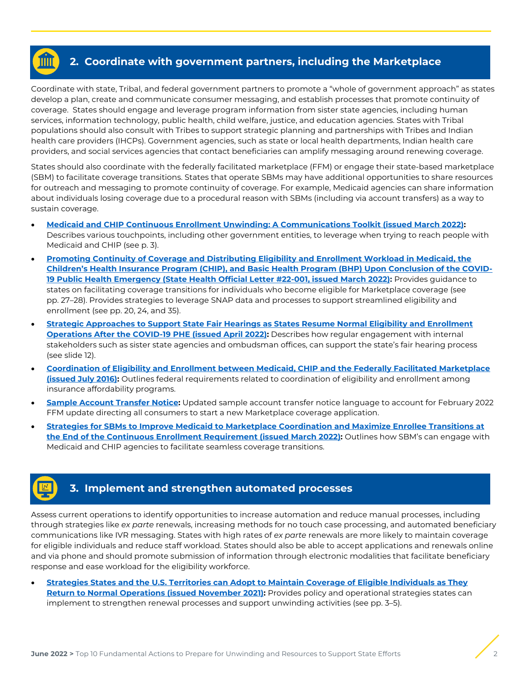## **2. Coordinate with government partners, including the Marketplace**

Coordinate with state, Tribal, and federal government partners to promote a "whole of government approach" as states develop a plan, create and communicate consumer messaging, and establish processes that promote continuity of coverage. States should engage and leverage program information from sister state agencies, including human services, information technology, public health, child welfare, justice, and education agencies. States with Tribal populations should also consult with Tribes to support strategic planning and partnerships with Tribes and Indian health care providers (IHCPs). Government agencies, such as state or local health departments, Indian health care providers, and social services agencies that contact beneficiaries can amplify messaging around renewing coverage.

States should also coordinate with the federally facilitated marketplace (FFM) or engage their state-based marketplace (SBM) to facilitate coverage transitions. States that operate SBMs may have additional opportunities to share resources for outreach and messaging to promote continuity of coverage. For example, Medicaid agencies can share information about individuals losing coverage due to a procedural reason with SBMs (including via account transfers) as a way to sustain coverage.

- **[Medicaid and CHIP Continuous Enrollment Unwinding: A Communications Toolkit \(issued March 2022\):](https://www.medicaid.gov/resources-for-states/downloads/unwinding-comms-toolkit.pdf)** Describes various touchpoints, including other government entities, to leverage when trying to reach people with Medicaid and CHIP (see p. 3).
- **[Promoting Continuity of Coverage and Distributing Eligibility and Enrollment Workload in Medicaid, the](https://www.medicaid.gov/federal-policy-guidance/downloads/sho22001.pdf)  [Children's Health Insurance Program \(CHIP\), and Basic Health Program \(BHP\) Upon Conclusion of the COVID-](https://www.medicaid.gov/federal-policy-guidance/downloads/sho22001.pdf)[19 Public Health Emergency \(State Health Official Letter #22-001, issued March 2022\):](https://www.medicaid.gov/federal-policy-guidance/downloads/sho22001.pdf)** Provides guidance to states on facilitating coverage transitions for individuals who become eligible for Marketplace coverage (see pp. 27–28). Provides strategies to leverage SNAP data and processes to support streamlined eligibility and enrollment (see pp. 20, 24, and 35).
- **[Strategic Approaches to Support State Fair Hearings as States Resume Normal Eligibility and Enrollment](https://www.medicaid.gov/resources-for-states/downloads/strat-apps-state-fair-hearings.pdf)  [Operations After the COVID-19 PHE \(issued April 2022\):](https://www.medicaid.gov/resources-for-states/downloads/strat-apps-state-fair-hearings.pdf)** Describes how regular engagement with internal stakeholders such as sister state agencies and ombudsman offices, can support the state's fair hearing process (see slide 12).
- **[Coordination of Eligibility and Enrollment between Medicaid, CHIP and the Federally Facilitated Marketplace](https://www.medicaid.gov/federal-policy-guidance/downloads/cib072516.pdf)  [\(issued July 2016\):](https://www.medicaid.gov/federal-policy-guidance/downloads/cib072516.pdf)** Outlines federal requirements related to coordination of eligibility and enrollment among insurance affordability programs.
- **[Sample Account Transfer Notice:](https://marketplace.cms.gov/technical-assistance-resources/training-materials/inbound-account-transfer.pdf)** Updated sample account transfer notice language to account for February 2022 FFM update directing all consumers to start a new Marketplace coverage application.
- **[Strategies for SBMs to Improve Medicaid to Marketplace Coordination and Maximize Enrollee Transitions at](https://www.medicaid.gov/resources-for-states/downloads/sbm-strategies-03162022.pdf)  [the End of the Continuous Enrollment Requirement \(issued March 2022\):](https://www.medicaid.gov/resources-for-states/downloads/sbm-strategies-03162022.pdf)** Outlines how SBM's can engage with Medicaid and CHIP agencies to facilitate seamless coverage transitions.

## **3. Implement and strengthen automated processes**

Assess current operations to identify opportunities to increase automation and reduce manual processes, including through strategies like *ex parte* renewals, increasing methods for no touch case processing, and automated beneficiary communications like IVR messaging. States with high rates of *ex parte* renewals are more likely to maintain coverage for eligible individuals and reduce staff workload. States should also be able to accept applications and renewals online and via phone and should promote submission of information through electronic modalities that facilitate beneficiary response and ease workload for the eligibility workforce.

• **[Strategies States and the U.S. Territories can Adopt to Maintain Coverage of Eligible Individuals as They](https://www.medicaid.gov/state-resource-center/downloads/strategies-for-covrg-of-indiv.pdf)  [Return to Normal Operations \(issued November 2021\):](https://www.medicaid.gov/state-resource-center/downloads/strategies-for-covrg-of-indiv.pdf)** Provides policy and operational strategies states can implement to strengthen renewal processes and support unwinding activities (see pp. 3–5).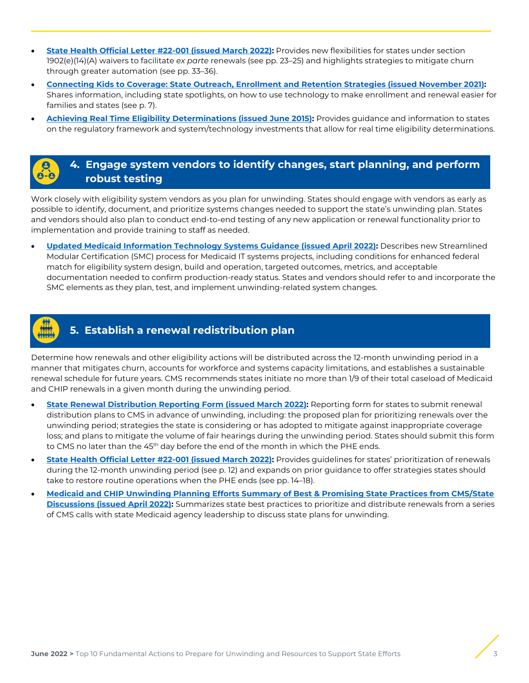- **[State Health Official Letter #22-001 \(issued March 2022\):](https://www.medicaid.gov/federal-policy-guidance/downloads/sho22001.pdf)** Provides new flexibilities for states under section 1902(e)(14)(A) waivers to facilitate *ex parte* renewals (see pp. 23–25) and highlights strategies to mitigate churn through greater automation (see pp. 33–36).
- **[Connecting Kids to Coverage: State Outreach, Enrollment and Retention Strategies \(issued November 2021\):](https://www.medicaid.gov/state-resource-center/downloads/kids-coverg-outreach-enrolmnt-retention-strategies.pdf)**  Shares information, including state spotlights, on how to use technology to make enrollment and renewal easier for families and states (see p. 7).
- **[Achieving Real Time Eligibility Determinations \(issued June 2015\):](https://www.medicaid.gov/state-resource-center/mac-learning-collaboratives/downloads/real-time-eligibility-determinations.pdf)** Provides guidance and information to states on the regulatory framework and system/technology investments that allow for real time eligibility determinations.

## **4. Engage system vendors to identify changes, start planning, and perform robust testing**

Work closely with eligibility system vendors as you plan for unwinding. States should engage with vendors as early as possible to identify, document, and prioritize systems changes needed to support the state's unwinding plan. States and vendors should also plan to conduct end-to-end testing of any new application or renewal functionality prior to implementation and provide training to staff as needed.

• **[Updated Medicaid Information Technology Systems Guidance \(issued April 2022\):](https://www.medicaid.gov/federal-policy-guidance/downloads/smd22001.pdf)** Describes new Streamlined Modular Certification (SMC) process for Medicaid IT systems projects, including conditions for enhanced federal match for eligibility system design, build and operation, targeted outcomes, metrics, and acceptable documentation needed to confirm production-ready status. States and vendors should refer to and incorporate the SMC elements as they plan, test, and implement unwinding-related system changes.



## **5. Establish a renewal redistribution plan**

Determine how renewals and other eligibility actions will be distributed across the 12-month unwinding period in a manner that mitigates churn, accounts for workforce and systems capacity limitations, and establishes a sustainable renewal schedule for future years. CMS recommends states initiate no more than 1/9 of their total caseload of Medicaid and CHIP renewals in a given month during the unwinding period.

- **[State Renewal Distribution Reporting Form \(issued March 2022\):](https://www.medicaid.gov/resources-for-states/downloads/state-renewable-print-only-report.pdf)** Reporting form for states to submit renewal distribution plans to CMS in advance of unwinding, including: the proposed plan for prioritizing renewals over the unwinding period; strategies the state is considering or has adopted to mitigate against inappropriate coverage loss; and plans to mitigate the volume of fair hearings during the unwinding period. States should submit this form to CMS no later than the 45<sup>th</sup> day before the end of the month in which the PHE ends.
- **[State Health Official Letter #22-001 \(issued March 2022\):](https://www.medicaid.gov/federal-policy-guidance/downloads/sho22001.pdf)** Provides guidelines for states' prioritization of renewals during the 12-month unwinding period (see p. 12) and expands on prior guidance to offer strategies states should take to restore routine operations when the PHE ends (see pp. 14–18).
- **[Medicaid and CHIP Unwinding Planning Efforts Summary of Best & Promising State Practices from CMS/State](https://www.medicaid.gov/resources-for-states/downloads/state-unwinding-best-practices.pdf)  [Discussions \(issued April 2022\):](https://www.medicaid.gov/resources-for-states/downloads/state-unwinding-best-practices.pdf)** Summarizes state best practices to prioritize and distribute renewals from a series of CMS calls with state Medicaid agency leadership to discuss state plans for unwinding.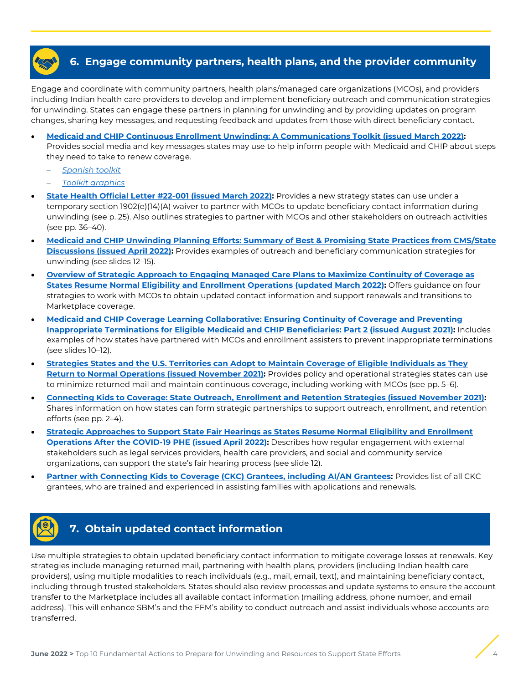

Engage and coordinate with community partners, health plans/managed care organizations (MCOs), and providers including Indian health care providers to develop and implement beneficiary outreach and communication strategies for unwinding. States can engage these partners in planning for unwinding and by providing updates on program changes, sharing key messages, and requesting feedback and updates from those with direct beneficiary contact.

- **[Medicaid and CHIP Continuous Enrollment Unwinding: A Communications Toolkit \(issued March 2022\):](https://www.medicaid.gov/resources-for-states/downloads/unwinding-comms-toolkit.pdf)**  Provides social media and key messages states may use to help inform people with Medicaid and CHIP about steps they need to take to renew coverage.
	- *[Spanish toolkit](https://www.medicaid.gov/resources-for-states/downloads/unwinding-comms-toolkit-esp.pdf)*
	- *[Toolkit graphics](https://www.medicaid.gov/resources-for-states/downloads/unwinding-comms-toolkit-graphics.zip)*
- **[State Health Official Letter #22-001 \(issued March 2022\):](https://www.medicaid.gov/federal-policy-guidance/downloads/sho22001.pdf)** Provides a new strategy states can use under a temporary section 1902(e)(14)(A) waiver to partner with MCOs to update beneficiary contact information during unwinding (see p. 25). Also outlines strategies to partner with MCOs and other stakeholders on outreach activities (see pp. 36–40).
- **Medicaid and CHIP Unwinding Planning Efforts: [Summary of Best & Promising State Practices from CMS/State](https://www.medicaid.gov/resources-for-states/downloads/state-unwinding-best-practices.pdf)  [Discussions \(issued April 2022\):](https://www.medicaid.gov/resources-for-states/downloads/state-unwinding-best-practices.pdf)** Provides examples of outreach and beneficiary communication strategies for unwinding (see slides 12–15).
- **[Overview of Strategic Approach to Engaging Managed Care Plans to Maximize Continuity of Coverage as](https://www.medicaid.gov/resources-for-states/downloads/health-plan-strategy.pdf)  [States Resume Normal Eligibility and Enrollment Operations \(updated March 2022\):](https://www.medicaid.gov/resources-for-states/downloads/health-plan-strategy.pdf)** Offers guidance on four strategies to work with MCOs to obtain updated contact information and support renewals and transitions to Marketplace coverage.
- **[Medicaid and CHIP Coverage Learning Collaborative: Ensuring Continuity of Coverage and Preventing](https://www.medicaid.gov/state-resource-center/downloads/mac-learning-collaboratives/ensrng-contnty-cvrg-prvntng-inprprte-trmntns-part-2.pdf)  [Inappropriate Terminations for Eligible Medicaid and CHIP Beneficiaries: Part 2 \(issued August 2021\):](https://www.medicaid.gov/state-resource-center/downloads/mac-learning-collaboratives/ensrng-contnty-cvrg-prvntng-inprprte-trmntns-part-2.pdf)** Includes examples of how states have partnered with MCOs and enrollment assisters to prevent inappropriate terminations (see slides 10–12).
- **Strategies States and the U.S. Territories can [Adopt to Maintain Coverage of Eligible Individuals as They](https://www.medicaid.gov/state-resource-center/downloads/strategies-for-covrg-of-indiv.pdf)  [Return to Normal Operations \(issued November 2021\):](https://www.medicaid.gov/state-resource-center/downloads/strategies-for-covrg-of-indiv.pdf)** Provides policy and operational strategies states can use to minimize returned mail and maintain continuous coverage, including working with MCOs (see pp. 5–6).
- **[Connecting Kids to Coverage: State Outreach, Enrollment and Retention Strategies \(issued November 2021\):](https://www.medicaid.gov/state-resource-center/downloads/kids-coverg-outreach-enrolmnt-retention-strategies.pdf)** Shares information on how states can form strategic partnerships to support outreach, enrollment, and retention efforts (see pp. 2–4).
- **[Strategic Approaches to Support State Fair Hearings as States Resume Normal Eligibility and Enrollment](https://www.medicaid.gov/resources-for-states/downloads/strat-apps-state-fair-hearings.pdf)  [Operations After the COVID-19 PHE \(issued April 2022\):](https://www.medicaid.gov/resources-for-states/downloads/strat-apps-state-fair-hearings.pdf)** Describes how regular engagement with external stakeholders such as legal services providers, health care providers, and social and community service organizations, can support the state's fair hearing process (see slide 12).
- **[Partner with Connecting Kids to Coverage \(CKC\) Grantees,](https://www.insurekidsnow.gov/campaign-information/outreach-enrollment-grants/2019-healthy-kids-outreach-and-enrollment/index.html) including [AI/AN Grantees:](https://www.insurekidsnow.gov/campaign-information/outreach-enrollment-grants/2020-healthy-kids-outreach-and-enrollment/index.html)** Provides list of all CKC grantees, who are trained and experienced in assisting families with applications and renewals.



## **7. Obtain updated contact information**

Use multiple strategies to obtain updated beneficiary contact information to mitigate coverage losses at renewals. Key strategies include managing returned mail, partnering with health plans, providers (including Indian health care providers), using multiple modalities to reach individuals (e.g., mail, email, text), and maintaining beneficiary contact, including through trusted stakeholders. States should also review processes and update systems to ensure the account transfer to the Marketplace includes all available contact information (mailing address, phone number, and email address). This will enhance SBM's and the FFM's ability to conduct outreach and assist individuals whose accounts are transferred.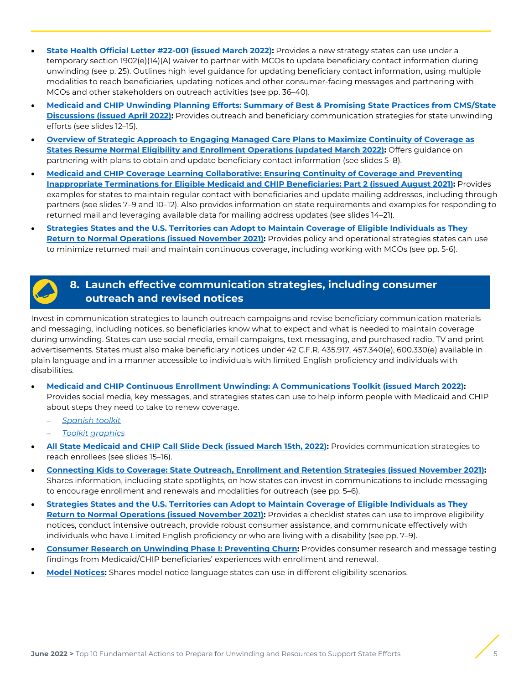- **[State Health Official Letter #22-001 \(issued March 2022\):](https://www.medicaid.gov/federal-policy-guidance/downloads/sho22001.pdf)** Provides a new strategy states can use under a temporary section 1902(e)(14)(A) waiver to partner with MCOs to update beneficiary contact information during unwinding (see p. 25). Outlines high level guidance for updating beneficiary contact information, using multiple modalities to reach beneficiaries, updating notices and other consumer-facing messages and partnering with MCOs and other stakeholders on outreach activities (see pp. 36–40).
- **[Medicaid and CHIP Unwinding Planning Efforts: Summary of Best & Promising State Practices from CMS/State](https://www.medicaid.gov/resources-for-states/downloads/state-unwinding-best-practices.pdf)  [Discussions \(issued April 2022\):](https://www.medicaid.gov/resources-for-states/downloads/state-unwinding-best-practices.pdf)** Provides outreach and beneficiary communication strategies for state unwinding efforts (see slides 12–15).
- **[Overview of Strategic Approach to Engaging Managed Care Plans to Maximize Continuity of Coverage as](https://www.medicaid.gov/resources-for-states/downloads/health-plan-strategy.pdf)  [States Resume Normal Eligibility and Enrollment Operations \(updated March 2022\):](https://www.medicaid.gov/resources-for-states/downloads/health-plan-strategy.pdf)** Offers guidance on partnering with plans to obtain and update beneficiary contact information (see slides 5–8).
- **[Medicaid and CHIP Coverage Learning Collaborative: Ensuring Continuity of Coverage and Preventing](https://www.medicaid.gov/state-resource-center/downloads/mac-learning-collaboratives/ensrng-contnty-cvrg-prvntng-inprprte-trmntns-part-2.pdf)  [Inappropriate Terminations for Eligible Medicaid and CHIP Beneficiaries: Part 2 \(issued August 2021\):](https://www.medicaid.gov/state-resource-center/downloads/mac-learning-collaboratives/ensrng-contnty-cvrg-prvntng-inprprte-trmntns-part-2.pdf)** Provides examples for states to maintain regular contact with beneficiaries and update mailing addresses, including through partners (see slides 7–9 and 10–12). Also provides information on state requirements and examples for responding to returned mail and leveraging available data for mailing address updates (see slides 14–21).
- **[Strategies States and the U.S. Territories can Adopt to Maintain Coverage of Eligible Individuals as They](https://www.medicaid.gov/state-resource-center/downloads/strategies-for-covrg-of-indiv.pdf)  [Return to Normal Operations \(issued November 2021\):](https://www.medicaid.gov/state-resource-center/downloads/strategies-for-covrg-of-indiv.pdf)** Provides policy and operational strategies states can use to minimize returned mail and maintain continuous coverage, including working with MCOs (see pp. 5-6).

## **8. Launch effective communication strategies, including consumer outreach and revised notices**

Invest in communication strategies to launch outreach campaigns and revise beneficiary communication materials and messaging, including notices, so beneficiaries know what to expect and what is needed to maintain coverage during unwinding. States can use social media, email campaigns, text messaging, and purchased radio, TV and print advertisements. States must also make beneficiary notices under 42 C.F.R. 435.917, 457.340(e), 600.330(e) available in plain language and in a manner accessible to individuals with limited English proficiency and individuals with disabilities.

- **[Medicaid and CHIP Continuous Enrollment Unwinding: A Communications Toolkit \(issued March 2022\):](https://www.medicaid.gov/resources-for-states/downloads/unwinding-comms-toolkit.pdf)**  Provides social media, key messages, and strategies states can use to help inform people with Medicaid and CHIP about steps they need to take to renew coverage.
	- *[Spanish toolkit](https://www.medicaid.gov/resources-for-states/downloads/unwinding-comms-toolkit-esp.pdf)*
	- *[Toolkit graphics](https://www.medicaid.gov/resources-for-states/downloads/unwinding-comms-toolkit-graphics.zip)*
- **[All State Medicaid and CHIP Call Slide Deck \(issued March 15th, 2022\):](https://www.medicaid.gov/resources-for-states/downloads/covid19allstatecall03152022.pdf)** Provides communication strategies to reach enrollees (see slides 15–16).
- **[Connecting Kids to Coverage: State Outreach, Enrollment and Retention Strategies \(issued November 2021\):](https://www.medicaid.gov/state-resource-center/downloads/kids-coverg-outreach-enrolmnt-retention-strategies.pdf)** Shares information, including state spotlights, on how states can invest in communications to include messaging to encourage enrollment and renewals and modalities for outreach (see pp. 5–6).
- **[Strategies States and the U.S. Territories can Adopt to Maintain Coverage of Eligible Individuals as They](https://www.medicaid.gov/state-resource-center/downloads/strategies-for-covrg-of-indiv.pdf)  [Return to Normal Operations \(issued November 2021\):](https://www.medicaid.gov/state-resource-center/downloads/strategies-for-covrg-of-indiv.pdf)** Provides a checklist states can use to improve eligibility notices, conduct intensive outreach, provide robust consumer assistance, and communicate effectively with individuals who have Limited English proficiency or who are living with a disability (see pp. 7–9).
- **[Consumer Research on Unwinding Phase I: Preventing Churn:](https://www.medicaid.gov/sites/default/files/2022-03/Consumer%20Research%20on%20Unwinding%20Phase%20I_508.pdf)** Provides consumer research and message testing findings from Medicaid/CHIP beneficiaries' experiences with enrollment and renewal.
- **[Model Notices:](https://www.medicaid.gov/state-resource-center/mac-learning-collaboratives/downloads/model-notices.pdf)** Shares model notice language states can use in different eligibility scenarios.